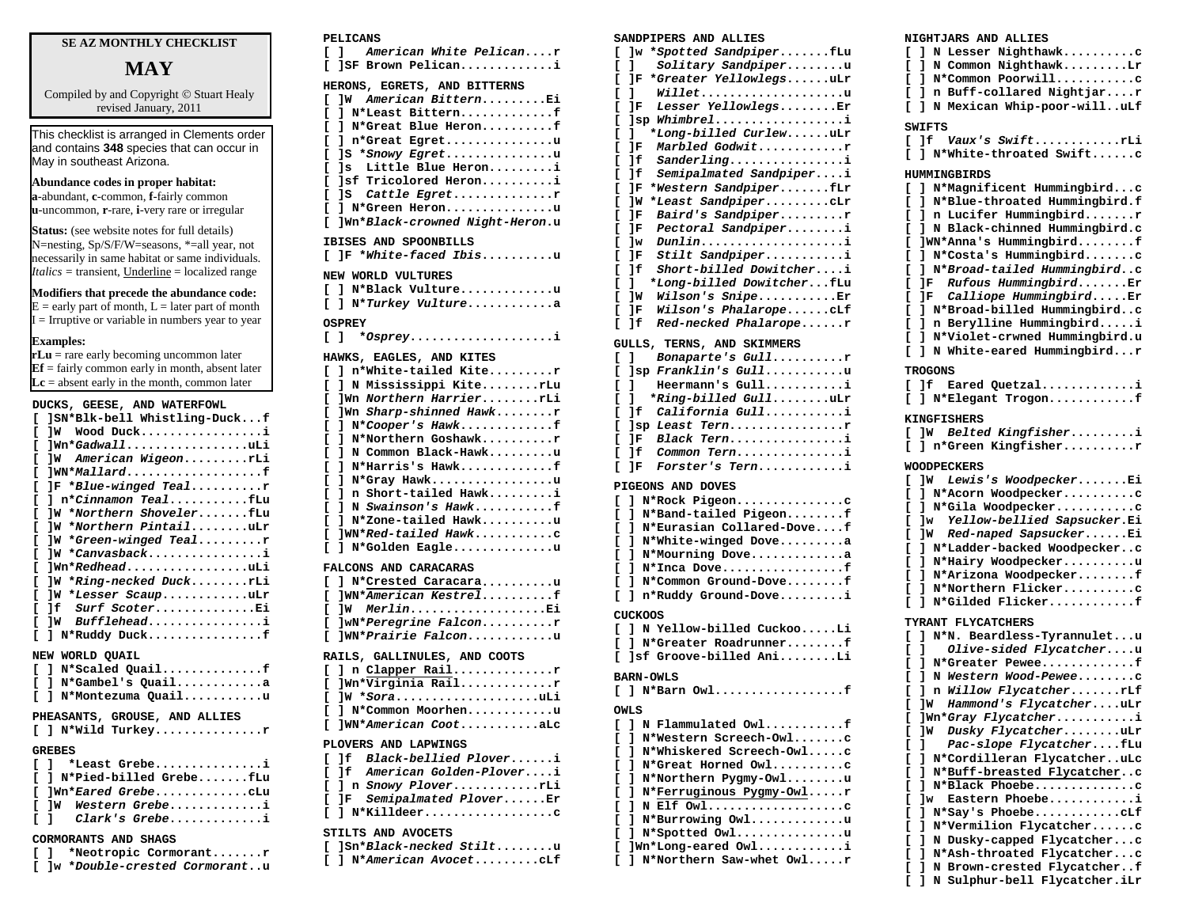## **SE AZ MONTHLY CHECKLIST**

# **MAY**

Compiled by and Copyright © Stuart Healy revised January, 2011

This checklist is arranged in Clements order and contains **348** species that can occur in May in southeast Arizona.

## **Abundance codes in proper habitat:**

**a**-abundant, **c**-common, **f**-fairly common **u**-uncommon, **r**-rare, **i**-very rare or irregular

**Status:** (see website notes for full details) N=nesting, Sp/S/F/W=seasons, \*=all year, not necessarily in same habitat or same individuals. *Italics* = transient, Underline = localized range

## **Modifiers that precede the abundance code:**

 $E =$  early part of month,  $L =$  later part of month  $I = I$ rruptive or variable in numbers year to year

#### **Examples:**

**rLu** = rare early becoming uncommon later **Ef** = fairly common early in month, absent later  $\mathbf{Lc}$  = absent early in the month, common later

| DUCKS, GEESE, AND WATERFOWL       |
|-----------------------------------|
| ]SN*Blk-bell Whistling-Duckf<br>г |
| JW Wood Ducki<br>г                |
| ]Wn*GadwalluLi<br>г               |
| ]W American WigeonrLi<br>г        |
| ]WN*Mallardf<br>г                 |
| IF *Blue-winged Tealr<br>г        |
| ] n*Cinnamon TealfLu<br>г         |
| W *Northern ShovelerfLu<br>г      |
| ]W *Northern PintailuLr<br>г      |
| ]W *Green-winged Tealr<br>г       |
| ]W *Canvasbacki<br>г              |
| lWn*RedheaduLi<br>г               |
| ]W *Ring-necked DuckrLi<br>r      |
| ]W *Lesser ScaupuLr<br>г          |
| 1f Surf ScoterEi<br>г             |
| ]W Buffleheadi<br>г               |
| ] N*Ruddy Duckf<br>г              |
| NEW WORLD QUAIL                   |
| [ ] N*Scaled Quailf               |
| [ ] N*Gambel's Quaila             |
| ] N*Montezuma Quailu<br>г         |
|                                   |
| PHEASANTS, GROUSE, AND ALLIES     |
| $[ ]$ N*Wild Turkeyr              |
| <b>GREBES</b>                     |
| 1 *Least Grebei<br>г              |
| 1 N*Pied-billed GrebefLu<br>г     |
| Iwn*Eared GrebeCLu<br>г           |
| W Western Grebei<br>г             |
| 1 Clark's Grebei<br>г             |
|                                   |

#### **PELICANS**

| American White Pelicanr<br>c<br>1                   |
|-----------------------------------------------------|
| ISF Brown Pelicani<br>Г                             |
| HERONS, EGRETS, AND BITTERNS                        |
| American BitternEi<br>1w<br>г                       |
| N*Least Bitternf<br>г<br>1                          |
| N*Great Blue Heronf<br>c<br>L                       |
| n*Great Egretu<br>Ľ<br>L                            |
| D<br>*Snowy Egretu<br>1 S                           |
| Little Blue Heroni<br>Г<br>1s -                     |
| ]sf Tricolored Heroni<br>Г                          |
| Cattle Egretr<br>Ľ<br>] S                           |
| Г<br>] N*Green Heronu                               |
| ]Wn*Black-crowned Night-Heron.u<br>Г                |
|                                                     |
| IBISES AND SPOONBILLS                               |
| JF *White-faced Ibisu<br>г                          |
| NEW WORLD VULTURES                                  |
| ] N*Black Vultureu<br>c                             |
| N*Turkey Vulturea<br>Г<br>ı                         |
|                                                     |
| <b>OSPREY</b>                                       |
| *Osprey<br>Ľ<br>- 1                                 |
| HAWKS, EAGLES, AND KITES                            |
| n*White-tailed Kiter<br>$\mathbf{1}$<br>Г           |
| N Mississippi KiterLu<br>Г<br>1                     |
| Wn Northern HarrierrLi<br>c                         |
| ]Wn Sharp-shinned Hawkr<br>Г                        |
| N*Cooper's Hawkf<br>Ľ<br>ı                          |
| N*Northern Goshawkr<br>Г<br>ı                       |
| N Common Black-Hawku<br>Г<br>1                      |
| N*Harris's Hawkf<br>D<br>1                          |
| D<br>N*Grav Hawku<br>1                              |
| Short-tailed Hawki<br>Г<br>1<br>n                   |
| N Swainson's Hawkf<br>Г<br>1                        |
| N*Zone-tailed Hawku<br>Г<br>ı                       |
| ]WN*Red-tailed Hawkc<br>Ľ                           |
| N*Golden Eagleu<br>Г<br>ı                           |
|                                                     |
| FALCONS AND CARACARAS                               |
| ] N*Crested Caracarau<br>c<br>]WN*American Kestrelf |
| г                                                   |
| MerlinEi<br>c<br>1w<br>]wN*Peregrine Falconr        |
| г<br>$1$ WN*Drairie Falcon $11$<br>г                |
|                                                     |

| RAILS, GALLINULES, AND COOTS |  |
|------------------------------|--|
| $[ ]$ n Clapper Railr        |  |
| [ ]Wn*Virginia Railr         |  |
| [ ]W * <i>Sora</i> uLi       |  |
| [ ] N*Common Moorhenu        |  |
| I IWN*American CootaLc       |  |
| PLOVERS AND LAPWINGS         |  |
|                              |  |
|                              |  |

### **[ ]f** *Black-bellied Plover***......i [ ]f** *American Golden-Plover***....i [ ] n** *Snowy Plover***............rLi [ ]F** *Semipalmated Plover***......Er [ ] N\*Killdeer..................c** STILTS AND AVOCETS

**[ ]Sn\****Black-necked Stilt***........u [ ] N\****American Avocet***.........cLf**

#### **CORMORANTS AND SHAGS**

|  | [ ] *Neotropic Cormorantr |  |
|--|---------------------------|--|
|  |                           |  |

**[ ]w \****Double-crested Cormorant***..u**

#### **SANDPIPERS AND ALLIES**

| c      | ]w *Spotted SandpiperfLu                             |
|--------|------------------------------------------------------|
| c      | ı<br>Solitary Sandpiperu                             |
| D      | *Greater YellowlegsuLr<br>]F                         |
| c      | Willetu<br>ı                                         |
| c      | Lesser YellowlegsEr<br>]F                            |
| c      | Whimbreli<br>1sp                                     |
| c      | *Long-billed CurlewuLr<br>ı                          |
| c      | Marbled Godwitr<br>]F                                |
| c      | Sanderlingi<br>]f                                    |
| c      | Semipalmated Sandpiperi<br>]f                        |
| Ľ      | *Western SandpiperfLr<br>1F                          |
| c      | ]W<br>*Least SandpiperCLr                            |
| c      | ]F<br>Baird's Sandpiperr                             |
| Ľ      | Pectoral Sandpiperi<br>1F                            |
| c      | $Dunlin \ldots \ldots \ldots \ldots \ldots i$<br>]w  |
| c      | Stilt Sandpiperi<br>]F                               |
| c      | ]f<br>Short-billed Dowitcheri                        |
| c      | *Long-billed DowitcherfLu<br>ı                       |
| c      | ]W<br>Wilson's SnipeEr                               |
| Ľ      | ]F<br>Wilson's PhalaropecLf                          |
| Ľ      | ]f<br>Red-necked Phalaroper                          |
|        | GULLS, TERNS, AND SKIMMERS                           |
| c      | Bonaparte's Gullr<br>ı                               |
| c      | ]sp Franklin's Gullu                                 |
| c      | Heermann's Gulli<br>ı                                |
| Ľ      | *Ring-billed GulluLr<br>ı                            |
| c      | ]f<br>California Gulli                               |
| c      | ]sp Least Ternr                                      |
| Ľ      | JΕ<br>Black Terni                                    |
| c      | ]f<br>Common Terni                                   |
| c      | Forster's Terni<br>]F                                |
|        | <b>PIGEONS AND DOVES</b>                             |
| c      | N*Rock Pigeonc<br>ı                                  |
|        | ] N*Band-tailed Pigeonf                              |
| Ľ<br>c | ] N*Eurasian Collared-Dovef                          |
| c      | N*White-winged Dovea                                 |
|        | ı                                                    |
| c      | ı<br>N*Mourning Dovea                                |
| c      | ı<br>N*Inca Dovef                                    |
| c      | N*Common Ground-Dovef<br>ı                           |
| Ľ      | ı<br>n*Ruddy Ground-Dovei                            |
|        | CUCKOOS                                              |
| L      | 1<br>N Yellow-billed CuckooLi                        |
| c      | N*Greater Roadrunnerf<br>ı                           |
| Ľ      | ]sf Groove-billed AniLi                              |
|        | <b>BARN-OWLS</b>                                     |
| c      | ] N*Barn Owl<br>f                                    |
|        | OWLS                                                 |
| Ľ      | N Flammulated Owlf<br>ı                              |
|        |                                                      |
| c      | N*Western Screech-Owlc<br>ı                          |
| c      | N*Whiskered Screech-Owlc<br>ı<br>N*Great Horned Owlc |
| c      | ı<br>N*Northern Pygmy-Owlu                           |
| C<br>Ľ | ı<br>ı                                               |
|        | N*Ferruginous Pygmy-Owlr                             |

**[ ] N Elf Owl...................c [ ] N\*Burrowing Owl.............u [ ] N\*Spotted Owl...............u [ ]Wn\*Long-eared Owl............i [ ] N\*Northern Saw-whet Owl.....r**

## **NIGHTJARS AND ALLIES [ ] N Lesser Nighthawk..........c [ ] N Common Nighthawk.........Lr [ ] N\*Common Poorwill...........c [ ] n Buff-collared Nightjar....r [ ] N Mexican Whip-poor-will..uLf SWIFTS [ ]f** *Vaux's Swift***............rLi [ ] N\*White-throated Swift......c HUMMINGBIRDS [ ] N\*Magnificent Hummingbird...c [ ] N\*Blue-throated Hummingbird.f [ ] n Lucifer Hummingbird.......r [ ] N Black-chinned Hummingbird.c [ ]WN\*Anna's Hummingbird........f [ ] N\*Costa's Hummingbird.......c [ ] N\****Broad-tailed Hummingbird***..c [ ]F** *Rufous Hummingbird***.......Er [ ]F** *Calliope Hummingbird***.....Er [ ] N\*Broad-billed Hummingbird..c [ ] n Berylline Hummingbird.....i [ ] N\*Violet-crwned Hummingbird.u [ ] N White-eared Hummingbird...r TROGONS [ ]f Eared Quetzal.............i [ ] N\*Elegant Trogon............f KINGFISHERS [ ]W** *Belted Kingfisher***.........i [ ] n\*Green Kingfisher..........r WOODPECKERS [ ]W** *Lewis's Woodpecker***.......Ei [ ] N\*Acorn Woodpecker..........c [ ] N\*Gila Woodpecker...........c [ ]w** *Yellow-bellied Sapsucker***.Ei [ ]W** *Red-naped Sapsucker***......Ei [ ] N\*Ladder-backed Woodpecker..c [ ] N\*Hairy Woodpecker..........u [ ] N\*Arizona Woodpecker........f [ ] N\*Northern Flicker..........c [ ] N\*Gilded Flicker............f TYRANT FLYCATCHERS [ ] N\*N. Beardless-Tyrannulet...u [ ]** *Olive-sided Flycatcher***....u [ ] N\*Greater Pewee.............f [ ] N** *Western Wood-Pewee***........c [ ] n** *Willow Flycatcher***.......rLf [ ]W** *Hammond's Flycatcher***....uLr [ ]Wn\****Gray Flycatcher***...........i [ ]W** *Dusky Flycatcher***........uLr [ ]** *Pac-slope Flycatcher***....fLu [ ] N\*Cordilleran Flycatcher..uLc [ ] N\*Buff-breasted Flycatcher..c [ ] N\*Black Phoebe..............c [ ]w Eastern Phoebe............i [ ] N\*Say's Phoebe............cLf [ ] N\*Vermilion Flycatcher......c [ ] N Dusky-capped Flycatcher...c [ ] N\*Ash-throated Flycatcher...c**

**[ ] N Brown-crested Flycatcher..f [ ] N Sulphur-bell Flycatcher.iLr**